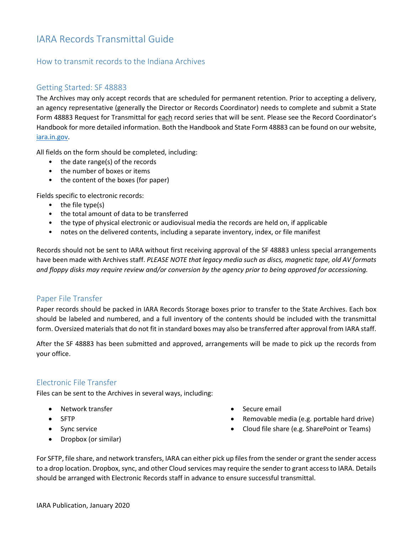# IARA Records Transmittal Guide

## How to transmit records to the Indiana Archives

#### Getting Started: SF 48883

The Archives may only accept records that are scheduled for permanent retention. Prior to accepting a delivery, an agency representative (generally the Director or Records Coordinator) needs to complete and submit a State Form 48883 Request for Transmittal for each record series that will be sent. Please see the Record Coordinator's Handbook for more detailed information. Both the Handbook and State Form 48883 can be found on our website, iara.in.gov.

All fields on the form should be completed, including:

- the date range(s) of the records
- the number of boxes or items
- the content of the boxes (for paper)

Fields specific to electronic records:

- the file type(s)
- the total amount of data to be transferred
- the type of physical electronic or audiovisual media the records are held on, if applicable
- notes on the delivered contents, including a separate inventory, index, or file manifest

Records should not be sent to IARA without first receiving approval of the SF 48883 unless special arrangements have been made with Archives staff. *PLEASE NOTE that legacy media such as discs, magnetic tape, old AV formats and floppy disks may require review and/or conversion by the agency prior to being approved for accessioning.*

#### Paper File Transfer

Paper records should be packed in IARA Records Storage boxes prior to transfer to the State Archives. Each box should be labeled and numbered, and a full inventory of the contents should be included with the transmittal form. Oversized materials that do not fit in standard boxes may also be transferred after approval from IARA staff.

After the SF 48883 has been submitted and approved, arrangements will be made to pick up the records from your office.

#### Electronic File Transfer

Files can be sent to the Archives in several ways, including:

- Network transfer
- SFTP
- Sync service
- Dropbox (or similar)
- Secure email
- Removable media (e.g. portable hard drive)
- Cloud file share (e.g. SharePoint or Teams)

For SFTP, file share, and network transfers, IARA can either pick up files from the sender or grant the sender access to a drop location. Dropbox, sync, and other Cloud services may require the sender to grant access to IARA. Details should be arranged with Electronic Records staff in advance to ensure successful transmittal.